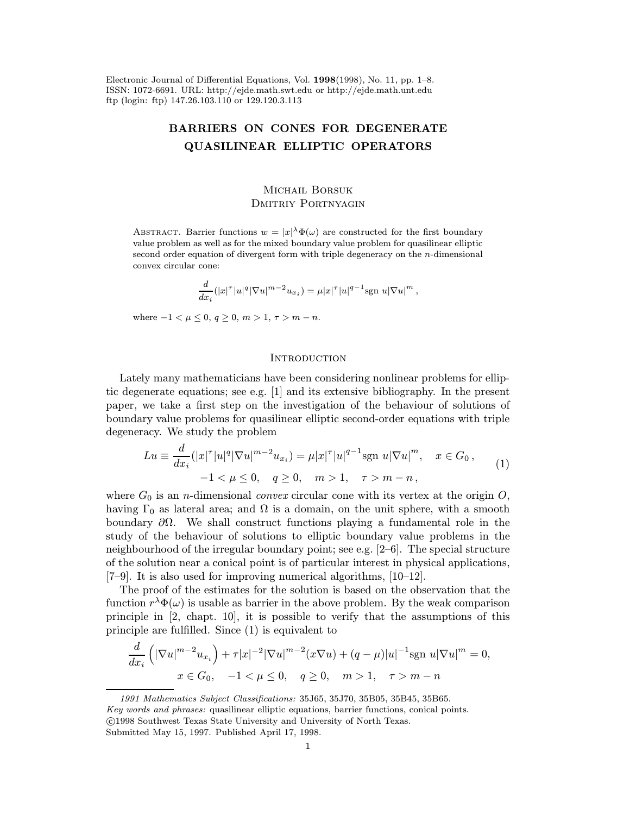Electronic Journal of Differential Equations, Vol. 1998(1998), No. 11, pp. 1–8. ISSN: 1072-6691. URL: http://ejde.math.swt.edu or http://ejde.math.unt.edu ftp (login: ftp) 147.26.103.110 or 129.120.3.113

# BARRIERS ON CONES FOR DEGENERATE QUASILINEAR ELLIPTIC OPERATORS

# MICHAIL BORSUK DMITRIY PORTNYAGIN

ABSTRACT. Barrier functions  $w = |x|^\lambda \Phi(\omega)$  are constructed for the first boundary value problem as well as for the mixed boundary value problem for quasilinear elliptic second order equation of divergent form with triple degeneracy on the n-dimensional convex circular cone:

$$
\frac{d}{dx_i} (|x|^{\tau}|u|^q |\nabla u|^{m-2} u_{x_i}) = \mu |x|^{\tau} |u|^{q-1} \text{sgn } u |\nabla u|^m ,
$$

where  $-1 < \mu \leq 0, q \geq 0, m > 1, \tau > m - n$ .

### **INTRODUCTION**

Lately many mathematicians have been considering nonlinear problems for elliptic degenerate equations; see e.g. [1] and its extensive bibliography. In the present paper, we take a first step on the investigation of the behaviour of solutions of boundary value problems for quasilinear elliptic second-order equations with triple degeneracy. We study the problem

$$
Lu \equiv \frac{d}{dx_i} (|x|^{\tau}|u|^q |\nabla u|^{m-2} u_{x_i}) = \mu |x|^{\tau} |u|^{q-1} \text{sgn } u |\nabla u|^m, \quad x \in G_0,
$$
  

$$
-1 < \mu \le 0, \quad q \ge 0, \quad m > 1, \quad \tau > m - n,
$$
 (1)

where  $G_0$  is an *n*-dimensional *convex* circular cone with its vertex at the origin O, having  $\Gamma_0$  as lateral area; and  $\Omega$  is a domain, on the unit sphere, with a smooth boundary ∂Ω. We shall construct functions playing a fundamental role in the study of the behaviour of solutions to elliptic boundary value problems in the neighbourhood of the irregular boundary point; see e.g. [2–6]. The special structure of the solution near a conical point is of particular interest in physical applications, [7–9]. It is also used for improving numerical algorithms, [10–12].

The proof of the estimates for the solution is based on the observation that the function  $r^{\lambda} \Phi(\omega)$  is usable as barrier in the above problem. By the weak comparison principle in [2, chapt. 10], it is possible to verify that the assumptions of this principle are fulfilled. Since (1) is equivalent to

$$
\frac{d}{dx_i} \left( |\nabla u|^{m-2} u_{x_i} \right) + \tau |x|^{-2} |\nabla u|^{m-2} (x \nabla u) + (q - \mu) |u|^{-1} \text{sgn } u |\nabla u|^m = 0,
$$
  

$$
x \in G_0, \quad -1 < \mu \le 0, \quad q \ge 0, \quad m > 1, \quad \tau > m - n
$$

<sup>1991</sup> Mathematics Subject Classifications: 35J65, 35J70, 35B05, 35B45, 35B65. Key words and phrases: quasilinear elliptic equations, barrier functions, conical points. c 1998 Southwest Texas State University and University of North Texas.

Submitted May 15, 1997. Published April 17, 1998.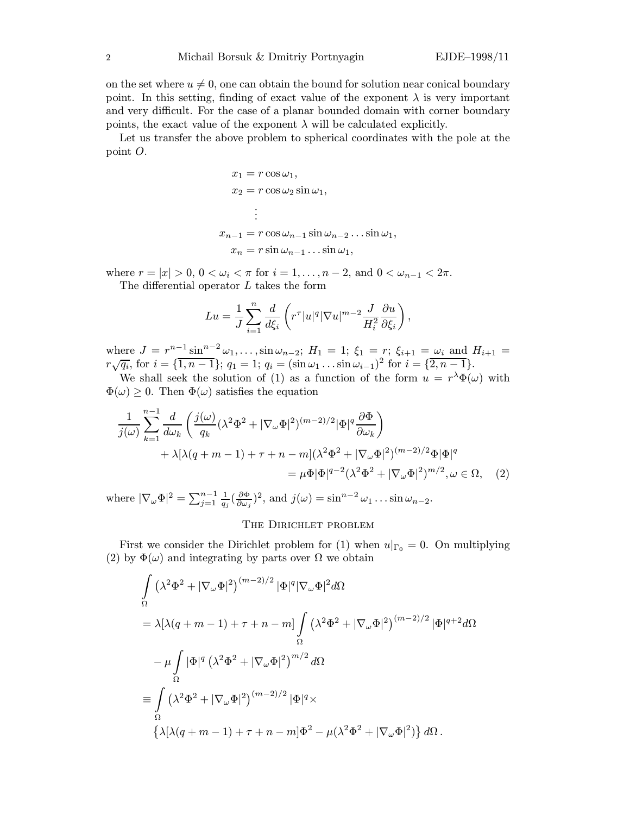on the set where  $u \neq 0$ , one can obtain the bound for solution near conical boundary point. In this setting, finding of exact value of the exponent  $\lambda$  is very important and very difficult. For the case of a planar bounded domain with corner boundary points, the exact value of the exponent  $\lambda$  will be calculated explicitly.

Let us transfer the above problem to spherical coordinates with the pole at the point O.

$$
x_1 = r \cos \omega_1,
$$
  
\n
$$
x_2 = r \cos \omega_2 \sin \omega_1,
$$
  
\n
$$
\vdots
$$
  
\n
$$
x_{n-1} = r \cos \omega_{n-1} \sin \omega_{n-2} \dots \sin \omega_1,
$$
  
\n
$$
x_n = r \sin \omega_{n-1} \dots \sin \omega_1,
$$

where  $r = |x| > 0$ ,  $0 < \omega_i < \pi$  for  $i = 1, ..., n-2$ , and  $0 < \omega_{n-1} < 2\pi$ . The differential operator L takes the form

$$
Lu = \frac{1}{J}\sum_{i=1}^n \frac{d}{d\xi_i} \left( r^{\tau} |u|^q |\nabla u|^{m-2} \frac{J}{H_i^2} \frac{\partial u}{\partial \xi_i} \right),
$$

where  $J = r^{n-1} \sin^{n-2} \omega_1, \ldots, \sin \omega_{n-2}$ ;  $H_1 = 1$ ;  $\xi_1 = r$ ;  $\xi_{i+1} = \omega_i$  and  $H_{i+1} =$ where  $\sigma = r \frac{\sinh(\omega_1, \ldots, \sin(\omega_n))}{\sin(\omega_1, \ldots, \sin(\omega_n))}$ ;  $r_1 = 1$ ;  $q_i = (\sin(\omega_1, \ldots, \sin(\omega_{i-1}))^2)$  for  $i = \{2, n-1\}$ .

We shall seek the solution of (1) as a function of the form  $u = r^{\lambda} \Phi(\omega)$  with  $\Phi(\omega) \geq 0$ . Then  $\Phi(\omega)$  satisfies the equation

$$
\frac{1}{j(\omega)}\sum_{k=1}^{n-1} \frac{d}{d\omega_k} \left( \frac{j(\omega)}{q_k} (\lambda^2 \Phi^2 + |\nabla_{\omega} \Phi|^2)^{(m-2)/2} |\Phi|^q \frac{\partial \Phi}{\partial \omega_k} \right) \n+ \lambda [\lambda (q+m-1) + \tau + n - m] (\lambda^2 \Phi^2 + |\nabla_{\omega} \Phi|^2)^{(m-2)/2} \Phi |\Phi|^q \n= \mu \Phi |\Phi|^{q-2} (\lambda^2 \Phi^2 + |\nabla_{\omega} \Phi|^2)^{m/2}, \omega \in \Omega, \quad (2)
$$

where  $|\nabla_{\omega} \Phi|^2 = \sum_{j=1}^{n-1} \frac{1}{q_j} (\frac{\partial \Phi}{\partial \omega_j})^2$ , and  $j(\omega) = \sin^{n-2} \omega_1 \dots \sin \omega_{n-2}$ .

## The Dirichlet problem

First we consider the Dirichlet problem for (1) when  $u|_{\Gamma_0} = 0$ . On multiplying (2) by  $\Phi(\omega)$  and integrating by parts over  $\Omega$  we obtain

$$
\int_{\Omega} (\lambda^2 \Phi^2 + |\nabla_{\omega} \Phi|^2)^{(m-2)/2} |\Phi|^q |\nabla_{\omega} \Phi|^2 d\Omega
$$
\n
$$
= \lambda [\lambda (q + m - 1) + \tau + n - m] \int_{\Omega} (\lambda^2 \Phi^2 + |\nabla_{\omega} \Phi|^2)^{(m-2)/2} |\Phi|^{q+2} d\Omega
$$
\n
$$
- \mu \int_{\Omega} |\Phi|^q (\lambda^2 \Phi^2 + |\nabla_{\omega} \Phi|^2)^{m/2} d\Omega
$$
\n
$$
\equiv \int_{\Omega} (\lambda^2 \Phi^2 + |\nabla_{\omega} \Phi|^2)^{(m-2)/2} |\Phi|^q \times
$$
\n
$$
\{\lambda [\lambda (q + m - 1) + \tau + n - m] \Phi^2 - \mu (\lambda^2 \Phi^2 + |\nabla_{\omega} \Phi|^2) \} d\Omega.
$$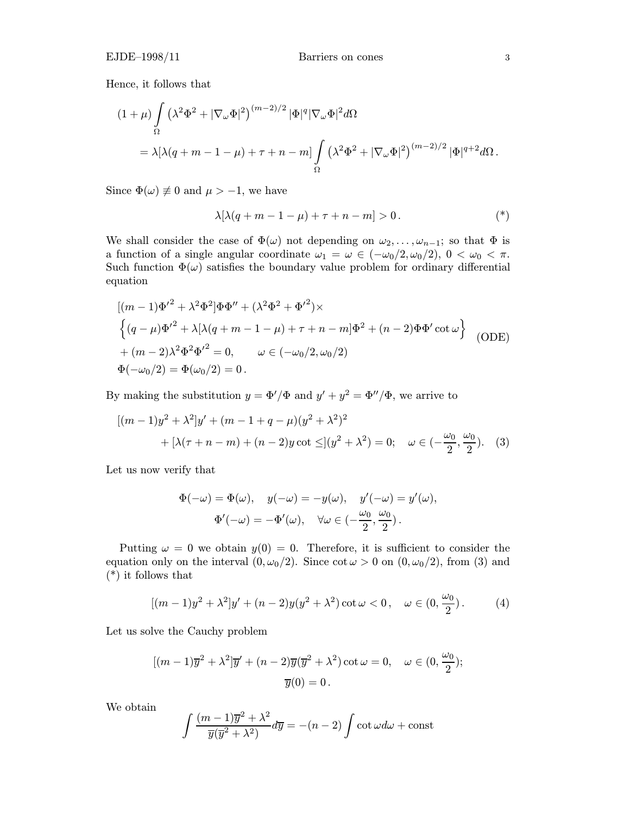Hence, it follows that

$$
(1+\mu)\int_{\Omega} (\lambda^2 \Phi^2 + |\nabla_{\omega} \Phi|^2)^{(m-2)/2} |\Phi|^q |\nabla_{\omega} \Phi|^2 d\Omega
$$
  
=  $\lambda [\lambda (q+m-1-\mu)+\tau+n-m] \int_{\Omega} (\lambda^2 \Phi^2 + |\nabla_{\omega} \Phi|^2)^{(m-2)/2} |\Phi|^{q+2} d\Omega.$ 

Since  $\Phi(\omega) \neq 0$  and  $\mu > -1$ , we have

$$
\lambda[\lambda(q+m-1-\mu)+\tau+n-m]>0.
$$
 (\*)

We shall consider the case of  $\Phi(\omega)$  not depending on  $\omega_2,\ldots,\omega_{n-1}$ ; so that  $\Phi$  is a function of a single angular coordinate  $\omega_1 = \omega \in (-\omega_0/2, \omega_0/2), 0 < \omega_0 < \pi$ . Such function  $\Phi(\omega)$  satisfies the boundary value problem for ordinary differential equation

$$
[(m-1)\Phi'^{2} + \lambda^{2}\Phi^{2}]\Phi\Phi'' + (\lambda^{2}\Phi^{2} + {\Phi'}^{2}) \times
$$
  

$$
\{(q-\mu)\Phi'^{2} + \lambda[\lambda(q+m-1-\mu)+\tau+n-m]\Phi^{2} + (n-2)\Phi\Phi'\cot\omega\}
$$
  

$$
+(m-2)\lambda^{2}\Phi^{2}\Phi'^{2} = 0, \qquad \omega \in (-\omega_{0}/2, \omega_{0}/2)
$$
  

$$
\Phi(-\omega_{0}/2) = \Phi(\omega_{0}/2) = 0.
$$
 (ODE)

By making the substitution  $y = \Phi'/\Phi$  and  $y' + y^2 = \Phi''/\Phi$ , we arrive to

$$
[(m-1)y^{2} + \lambda^{2}]y' + (m-1+q-\mu)(y^{2} + \lambda^{2})^{2}
$$
  
+  $[\lambda(\tau+n-m) + (n-2)y \cot \leq](y^{2} + \lambda^{2}) = 0; \quad \omega \in (-\frac{\omega_{0}}{2}, \frac{\omega_{0}}{2}).$  (3)

Let us now verify that

$$
\Phi(-\omega) = \Phi(\omega), \quad y(-\omega) = -y(\omega), \quad y'(-\omega) = y'(\omega),
$$

$$
\Phi'(-\omega) = -\Phi'(\omega), \quad \forall \omega \in \left(-\frac{\omega_0}{2}, \frac{\omega_0}{2}\right).
$$

Putting  $\omega = 0$  we obtain  $y(0) = 0$ . Therefore, it is sufficient to consider the equation only on the interval  $(0, \omega_0/2)$ . Since  $\cot \omega > 0$  on  $(0, \omega_0/2)$ , from (3) and (\*) it follows that

$$
[(m-1)y^{2} + \lambda^{2}]y' + (n-2)y(y^{2} + \lambda^{2}) \cot \omega < 0, \quad \omega \in (0, \frac{\omega_{0}}{2}).
$$
 (4)

Let us solve the Cauchy problem

$$
[(m-1)\overline{y}^2 + \lambda^2]\overline{y}' + (n-2)\overline{y}(\overline{y}^2 + \lambda^2)\cot\omega = 0, \quad \omega \in (0, \frac{\omega_0}{2});
$$
  

$$
\overline{y}(0) = 0.
$$

We obtain

$$
\int \frac{(m-1)\overline{y}^2 + \lambda^2}{\overline{y}(\overline{y}^2 + \lambda^2)} d\overline{y} = -(n-2) \int \cot \omega d\omega + \text{const}
$$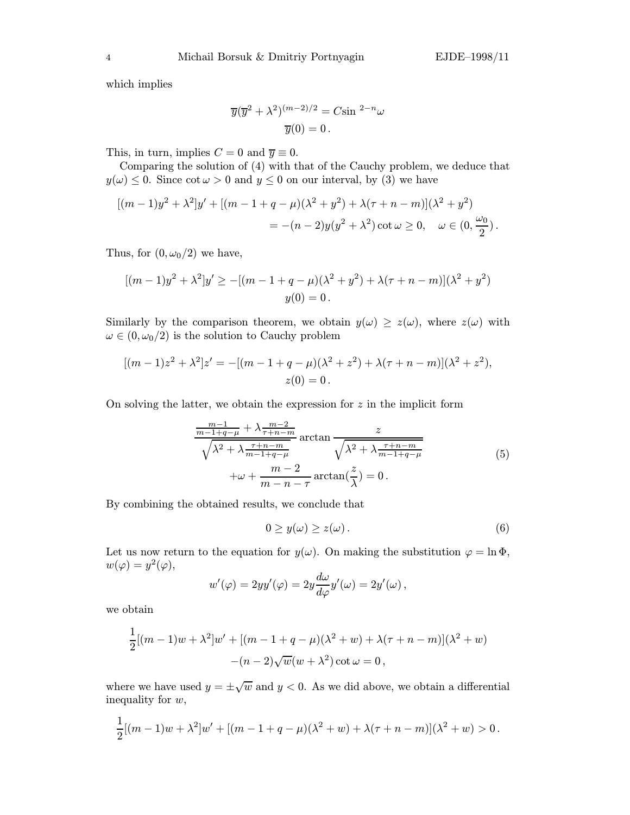which implies

$$
\overline{y}(\overline{y}^2 + \lambda^2)^{(m-2)/2} = C \sin^{2-n} \omega
$$

$$
\overline{y}(0) = 0.
$$

This, in turn, implies  $C = 0$  and  $\overline{y} \equiv 0$ .

Comparing the solution of (4) with that of the Cauchy problem, we deduce that  $y(\omega) \leq 0$ . Since  $\cot \omega > 0$  and  $y \leq 0$  on our interval, by (3) we have

$$
[(m-1)y^{2} + \lambda^{2}]y' + [(m-1+q-\mu)(\lambda^{2}+y^{2}) + \lambda(\tau+n-m)](\lambda^{2}+y^{2})
$$
  
= -(n-2)y(y^{2} + \lambda^{2}) \cot \omega \ge 0, \quad \omega \in (0, \frac{\omega\_{0}}{2}).

Thus, for  $(0, \omega_0/2)$  we have,

$$
[(m-1)y^{2} + \lambda^{2}]y' \ge -[(m-1+q-\mu)(\lambda^{2}+y^{2}) + \lambda(\tau+n-m)](\lambda^{2}+y^{2})
$$
  

$$
y(0) = 0.
$$

Similarly by the comparison theorem, we obtain  $y(\omega) \geq z(\omega)$ , where  $z(\omega)$  with  $\omega \in (0, \omega_0/2)$  is the solution to Cauchy problem

$$
[(m-1)z2 + \lambda2]z' = -[(m-1+q-\mu)(\lambda2 + z2) + \lambda(\tau + n - m)](\lambda2 + z2),
$$
  
z(0) = 0.

On solving the latter, we obtain the expression for  $z$  in the implicit form

$$
\frac{m-1}{m-1+q-\mu} + \lambda \frac{m-2}{\tau+n-m}
$$
arctan 
$$
\frac{z}{\sqrt{\lambda^2 + \lambda \frac{\tau+n-m}{m-1+q-\mu}}}
$$
arctan 
$$
\frac{z}{\sqrt{\lambda^2 + \lambda \frac{\tau+n-m}{m-1+q-\mu}}}
$$
 (5)  
+ $\omega + \frac{m-2}{m-n-\tau}$ arctan $(\frac{z}{\lambda}) = 0$ .

By combining the obtained results, we conclude that

$$
0 \ge y(\omega) \ge z(\omega). \tag{6}
$$

Let us now return to the equation for  $y(\omega)$ . On making the substitution  $\varphi = \ln \Phi$ ,  $w(\varphi) = y^2(\varphi),$ 

$$
w'(\varphi) = 2yy'(\varphi) = 2y \frac{d\omega}{d\varphi} y'(\omega) = 2y'(\omega),
$$

we obtain

$$
\frac{1}{2}[(m-1)w + \lambda^2]w' + [(m-1+q-\mu)(\lambda^2+w) + \lambda(\tau+n-m)](\lambda^2+w) -(n-2)\sqrt{w}(w+\lambda^2)\cot\omega = 0,
$$

where we have used  $y = \pm \sqrt{w}$  and  $y < 0$ . As we did above, we obtain a differential inequality for w,

$$
\frac{1}{2}[(m-1)w + \lambda^2]w' + [(m-1+q-\mu)(\lambda^2+w) + \lambda(\tau+n-m)](\lambda^2+w) > 0.
$$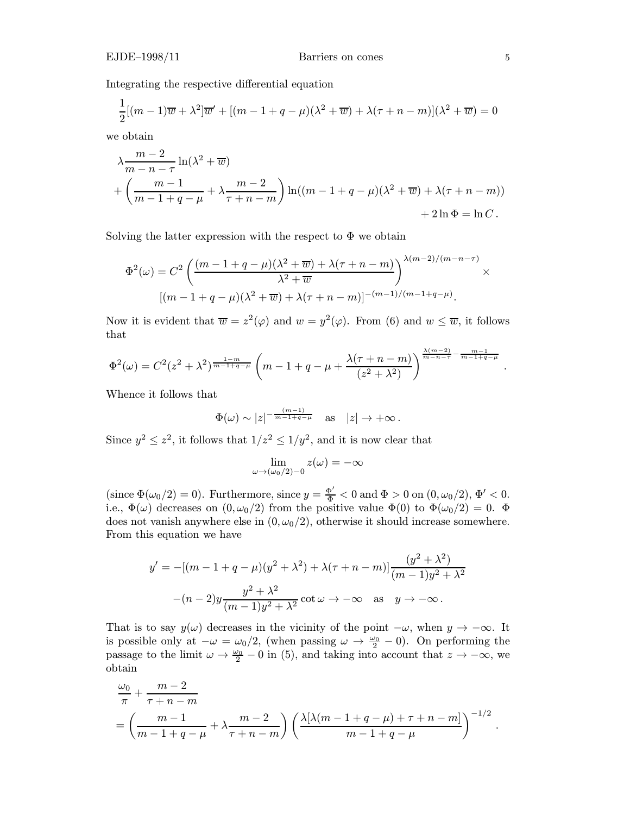## EJDE–1998/11 Barriers on cones 5

Integrating the respective differential equation

$$
\frac{1}{2}[(m-1)\overline{w} + \lambda^2]\overline{w}' + [(m-1+q-\mu)(\lambda^2+\overline{w}) + \lambda(\tau+n-m)](\lambda^2+\overline{w}) = 0
$$

we obtain

$$
\lambda \frac{m-2}{m-n-\tau} \ln(\lambda^2 + \overline{w})
$$
  
+ 
$$
\left(\frac{m-1}{m-1+q-\mu} + \lambda \frac{m-2}{\tau+n-m}\right) \ln((m-1+q-\mu)(\lambda^2+\overline{w}) + \lambda(\tau+n-m))
$$
  
+ 
$$
2\ln \Phi = \ln C.
$$

Solving the latter expression with the respect to  $\Phi$  we obtain

$$
\Phi^{2}(\omega) = C^{2} \left( \frac{(m-1+q-\mu)(\lambda^{2}+\overline{w}) + \lambda(\tau+n-m)}{\lambda^{2}+\overline{w}} \right)^{\lambda(m-2)/(m-n-\tau)} \times
$$

$$
[(m-1+q-\mu)(\lambda^{2}+\overline{w}) + \lambda(\tau+n-m)]^{-(m-1)/(m-1+q-\mu)}.
$$

Now it is evident that  $\overline{w} = z^2(\varphi)$  and  $w = y^2(\varphi)$ . From (6) and  $w \leq \overline{w}$ , it follows that

$$
\Phi^{2}(\omega) = C^{2}(z^{2} + \lambda^{2})^{\frac{1-m}{m-1+q-\mu}} \left( m - 1 + q - \mu + \frac{\lambda(\tau+n-m)}{(z^{2} + \lambda^{2})} \right)^{\frac{\lambda(m-2)}{m-n-\tau} - \frac{m-1}{m-1+q-\mu}}.
$$

Whence it follows that

$$
\Phi(\omega) \sim |z|^{-\frac{(m-1)}{m-1+q-\mu}}
$$
 as  $|z| \to +\infty$ .

Since  $y^2 \n\t\leq z^2$ , it follows that  $1/z^2 \leq 1/y^2$ , and it is now clear that

$$
\lim_{\omega \to (\omega_0/2) - 0} z(\omega) = -\infty
$$

(since  $\Phi(\omega_0/2) = 0$ ). Furthermore, since  $y = \frac{\Phi'}{\Phi} < 0$  and  $\Phi > 0$  on  $(0, \omega_0/2), \Phi' < 0$ . i.e.,  $\Phi(\omega)$  decreases on  $(0, \omega_0/2)$  from the positive value  $\Phi(0)$  to  $\Phi(\omega_0/2) = 0$ .  $\Phi$ does not vanish anywhere else in  $(0, \omega_0/2)$ , otherwise it should increase somewhere. From this equation we have

$$
y' = -[(m - 1 + q - \mu)(y^2 + \lambda^2) + \lambda(\tau + n - m)] \frac{(y^2 + \lambda^2)}{(m - 1)y^2 + \lambda^2}
$$

$$
-(n - 2)y \frac{y^2 + \lambda^2}{(m - 1)y^2 + \lambda^2} \cot \omega \to -\infty \text{ as } y \to -\infty.
$$

That is to say  $y(\omega)$  decreases in the vicinity of the point  $-\omega$ , when  $y \to -\infty$ . It is possible only at  $-\omega = \omega_0/2$ , (when passing  $\omega \to \frac{\omega_0}{2} - 0$ ). On performing the passage to the limit  $\omega \to \frac{\omega_0}{2} - 0$  in (5), and taking into account that  $z \to -\infty$ , we obtain

$$
\frac{\omega_0}{\pi} + \frac{m-2}{\tau+n-m}
$$
\n
$$
= \left(\frac{m-1}{m-1+q-\mu} + \lambda \frac{m-2}{\tau+n-m}\right) \left(\frac{\lambda[\lambda(m-1+q-\mu)+\tau+n-m]}{m-1+q-\mu}\right)^{-1/2}.
$$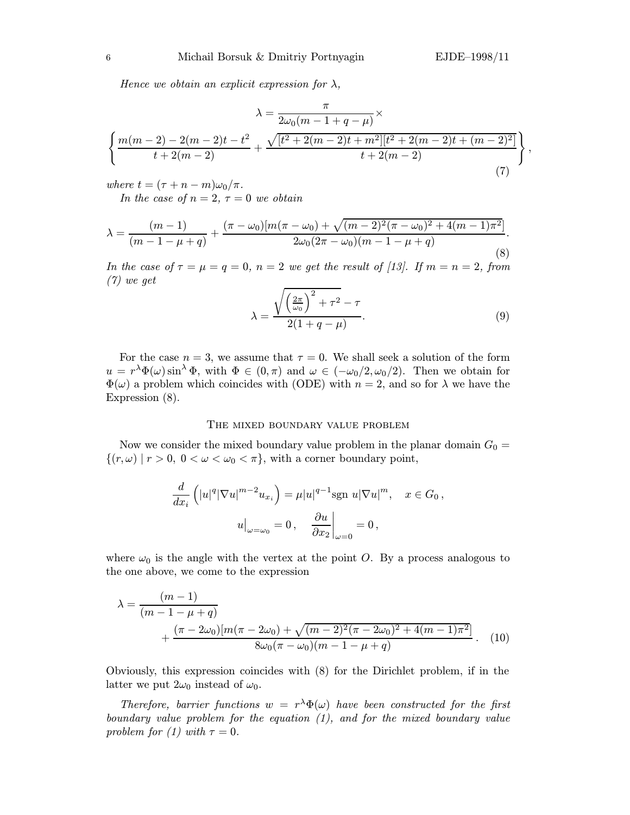Hence we obtain an explicit expression for  $\lambda$ ,

$$
\lambda = \frac{\pi}{2\omega_0(m-1+q-\mu)} \times \left\{ \frac{m(m-2)-2(m-2)t-t^2}{t+2(m-2)} + \frac{\sqrt{[t^2+2(m-2)t+m^2][t^2+2(m-2)t+(m-2)^2]}}{t+2(m-2)} \right\},
$$
\n(7)

where  $t = (\tau + n - m)\omega_0/\pi$ .

In the case of  $n = 2, \tau = 0$  we obtain

$$
\lambda = \frac{(m-1)}{(m-1-\mu+q)} + \frac{(\pi-\omega_0)[m(\pi-\omega_0)+\sqrt{(m-2)^2(\pi-\omega_0)^2+4(m-1)\pi^2}]}{2\omega_0(2\pi-\omega_0)(m-1-\mu+q)}.
$$
\n(8)

In the case of  $\tau = \mu = q = 0$ ,  $n = 2$  we get the result of [13]. If  $m = n = 2$ , from (7) we get

$$
\lambda = \frac{\sqrt{\left(\frac{2\pi}{\omega_0}\right)^2 + \tau^2} - \tau}{2(1 + q - \mu)}.
$$
\n(9)

For the case  $n = 3$ , we assume that  $\tau = 0$ . We shall seek a solution of the form  $u = r^{\lambda} \Phi(\omega) \sin^{\lambda} \Phi$ , with  $\Phi \in (0, \pi)$  and  $\omega \in (-\omega_0/2, \omega_0/2)$ . Then we obtain for  $\Phi(\omega)$  a problem which coincides with (ODE) with  $n = 2$ , and so for  $\lambda$  we have the Expression (8).

## The mixed boundary value problem

Now we consider the mixed boundary value problem in the planar domain  $G_0 =$  $\{(r,\omega) \mid r > 0, 0 < \omega < \omega_0 < \pi\}$ , with a corner boundary point,

$$
\frac{d}{dx_i} \left( |u|^q |\nabla u|^{m-2} u_{x_i} \right) = \mu |u|^{q-1} \text{sgn } u |\nabla u|^m, \quad x \in G_0,
$$

$$
u\Big|_{\omega=\omega_0} = 0, \quad \frac{\partial u}{\partial x_2}\Big|_{\omega=0} = 0,
$$

where  $\omega_0$  is the angle with the vertex at the point O. By a process analogous to the one above, we come to the expression

$$
\lambda = \frac{(m-1)}{(m-1-\mu+q)} + \frac{(\pi-2\omega_0)[m(\pi-2\omega_0)+\sqrt{(m-2)^2(\pi-2\omega_0)^2+4(m-1)\pi^2}]}{8\omega_0(\pi-\omega_0)(m-1-\mu+q)}.
$$
 (10)

Obviously, this expression coincides with (8) for the Dirichlet problem, if in the latter we put  $2\omega_0$  instead of  $\omega_0$ .

Therefore, barrier functions  $w = r^{\lambda} \Phi(\omega)$  have been constructed for the first boundary value problem for the equation (1), and for the mixed boundary value problem for (1) with  $\tau = 0$ .